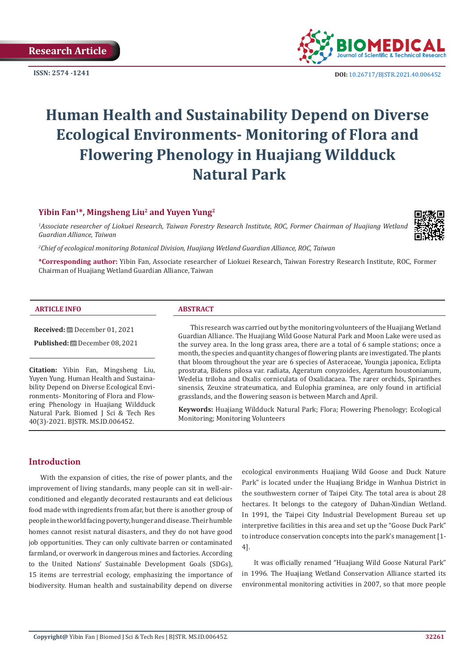

**ISSN:** 2574 -1241 **DOI:** [10.26717/BJSTR.2021.40.006452](https://dx.doi.org/10.26717/BJSTR.2021.40.006452)

# **Human Health and Sustainability Depend on Diverse Ecological Environments- Monitoring of Flora and Flowering Phenology in Huajiang Wildduck Natural Park**

#### **Yibin Fan1\*, Mingsheng Liu2 and Yuyen Yung2**

<sup>1</sup>Associate researcher of Liokuei Research, Taiwan Forestry Research Institute, ROC, Former Chairman of Huajiang Wetland *Guardian Alliance, Taiwan*

*2 Chief of ecological monitoring Botanical Division, Huajiang Wetland Guardian Alliance, ROC, Taiwan*

**\*Corresponding author:** Yibin Fan, Associate researcher of Liokuei Research, Taiwan Forestry Research Institute, ROC, Former Chairman of Huajiang Wetland Guardian Alliance, Taiwan

#### **ARTICLE INFO ABSTRACT**

**Received:** December 01, 2021

Published: **□** December 08, 2021

**Citation:** Yibin Fan, Mingsheng Liu, Yuyen Yung. Human Health and Sustainability Depend on Diverse Ecological Environments- Monitoring of Flora and Flowering Phenology in Huajiang Wildduck Natural Park. Biomed J Sci & Tech Res 40(3)-2021. BJSTR. MS.ID.006452.

This research was carried out by the monitoring volunteers of the Huajiang Wetland Guardian Alliance. The Huajiang Wild Goose Natural Park and Moon Lake were used as the survey area. In the long grass area, there are a total of 6 sample stations; once a month, the species and quantity changes of flowering plants are investigated. The plants that bloom throughout the year are 6 species of Asteraceae, Youngia japonica, Eclipta prostrata, Bidens pilosa var. radiata, Ageratum conyzoides, Ageratum houstonianum, Wedelia triloba and Oxalis corniculata of Oxalidacaea. The rarer orchids, Spiranthes sinensis, Zeuxine strateumatica, and Eulophia graminea, are only found in artificial grasslands, and the flowering season is between March and April.

**Keywords:** Huajiang Wildduck Natural Park; Flora; Flowering Phenology; Ecological Monitoring; Monitoring Volunteers

#### **Introduction**

With the expansion of cities, the rise of power plants, and the improvement of living standards, many people can sit in well-airconditioned and elegantly decorated restaurants and eat delicious food made with ingredients from afar, but there is another group of people in the world facing poverty, hunger and disease. Their humble homes cannot resist natural disasters, and they do not have good job opportunities. They can only cultivate barren or contaminated farmland, or overwork in dangerous mines and factories. According to the United Nations' Sustainable Development Goals (SDGs), 15 items are terrestrial ecology, emphasizing the importance of biodiversity. Human health and sustainability depend on diverse

ecological environments Huajiang Wild Goose and Duck Nature Park" is located under the Huajiang Bridge in Wanhua District in the southwestern corner of Taipei City. The total area is about 28 hectares. It belongs to the category of Dahan-Xindian Wetland. In 1991, the Taipei City Industrial Development Bureau set up interpretive facilities in this area and set up the "Goose Duck Park" to introduce conservation concepts into the park's management [1- 4].

It was officially renamed "Huajiang Wild Goose Natural Park" in 1996. The Huajiang Wetland Conservation Alliance started its environmental monitoring activities in 2007, so that more people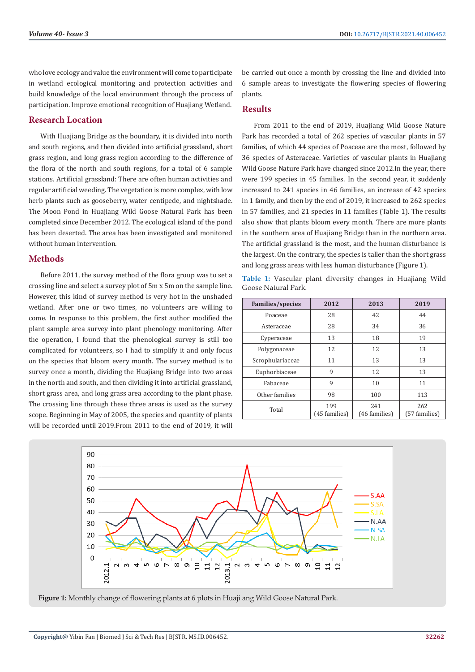who love ecology and value the environment will come to participate in wetland ecological monitoring and protection activities and build knowledge of the local environment through the process of participation. Improve emotional recognition of Huajiang Wetland.

#### **Research Location**

With Huajiang Bridge as the boundary, it is divided into north and south regions, and then divided into artificial grassland, short grass region, and long grass region according to the difference of the flora of the north and south regions, for a total of 6 sample stations. Artificial grassland: There are often human activities and regular artificial weeding. The vegetation is more complex, with low herb plants such as gooseberry, water centipede, and nightshade. The Moon Pond in Huajiang Wild Goose Natural Park has been completed since December 2012. The ecological island of the pond has been deserted. The area has been investigated and monitored without human intervention.

#### **Methods**

Before 2011, the survey method of the flora group was to set a crossing line and select a survey plot of 5m x 5m on the sample line. However, this kind of survey method is very hot in the unshaded wetland. After one or two times, no volunteers are willing to come. In response to this problem, the first author modified the plant sample area survey into plant phenology monitoring. After the operation, I found that the phenological survey is still too complicated for volunteers, so I had to simplify it and only focus on the species that bloom every month. The survey method is to survey once a month, dividing the Huajiang Bridge into two areas in the north and south, and then dividing it into artificial grassland, short grass area, and long grass area according to the plant phase. The crossing line through these three areas is used as the survey scope. Beginning in May of 2005, the species and quantity of plants will be recorded until 2019.From 2011 to the end of 2019, it will

be carried out once a month by crossing the line and divided into 6 sample areas to investigate the flowering species of flowering plants.

#### **Results**

From 2011 to the end of 2019, Huajiang Wild Goose Nature Park has recorded a total of 262 species of vascular plants in 57 families, of which 44 species of Poaceae are the most, followed by 36 species of Asteraceae. Varieties of vascular plants in Huajiang Wild Goose Nature Park have changed since 2012.In the year, there were 199 species in 45 families. In the second year, it suddenly increased to 241 species in 46 families, an increase of 42 species in 1 family, and then by the end of 2019, it increased to 262 species in 57 families, and 21 species in 11 families (Table 1). The results also show that plants bloom every month. There are more plants in the southern area of Huajiang Bridge than in the northern area. The artificial grassland is the most, and the human disturbance is the largest. On the contrary, the species is taller than the short grass and long grass areas with less human disturbance (Figure 1).

**Table 1:** Vascular plant diversity changes in Huajiang Wild Goose Natural Park.

| Families/species | 2012                 | 2013                 | 2019                 |
|------------------|----------------------|----------------------|----------------------|
| Poaceae          | 28                   | 42                   | 44                   |
| Asteraceae       | 28                   | 34                   | 36                   |
| Cyperaceae       | 13                   | 18                   | 19                   |
| Polygonaceae     | 12                   | 12                   | 13                   |
| Scrophulariaceae | 11                   | 13                   | 13                   |
| Euphorbiaceae    | 9                    | 12                   | 13                   |
| Fabaceae         | 9                    | 10                   | 11                   |
| Other families   | 98                   | 100                  | 113                  |
| Total            | 199<br>(45 families) | 241<br>(46 families) | 262<br>(57 families) |



**Figure 1:** Monthly change of flowering plants at 6 plots in Huaji ang Wild Goose Natural Park.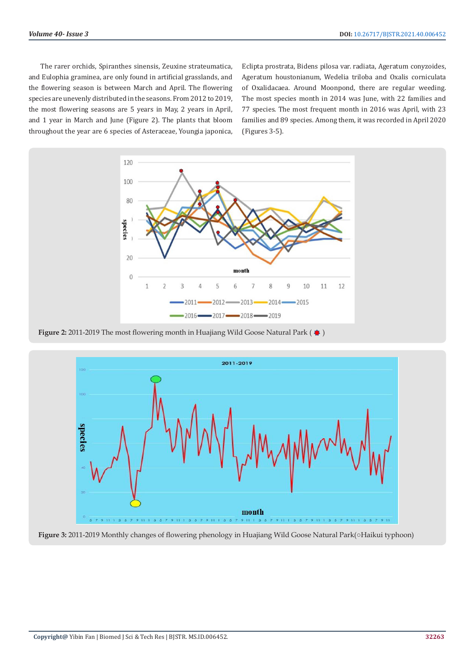The rarer orchids, Spiranthes sinensis, Zeuxine strateumatica, and Eulophia graminea, are only found in artificial grasslands, and the flowering season is between March and April. The flowering species are unevenly distributed in the seasons. From 2012 to 2019, the most flowering seasons are 5 years in May, 2 years in April, and 1 year in March and June (Figure 2). The plants that bloom throughout the year are 6 species of Asteraceae, Youngia japonica,

Eclipta prostrata, Bidens pilosa var. radiata, Ageratum conyzoides, Ageratum houstonianum, Wedelia triloba and Oxalis corniculata of Oxalidacaea. Around Moonpond, there are regular weeding. The most species month in 2014 was June, with 22 families and 77 species. The most frequent month in 2016 was April, with 23 families and 89 species. Among them, it was recorded in April 2020 (Figures 3-5).



**Figure 2:** 2011-2019 The most flowering month in Huajiang Wild Goose Natural Park ( $\clubsuit$ )



**Figure 3:** 2011-2019 Monthly changes of flowering phenology in Huajiang Wild Goose Natural Park(○Haikui typhoon)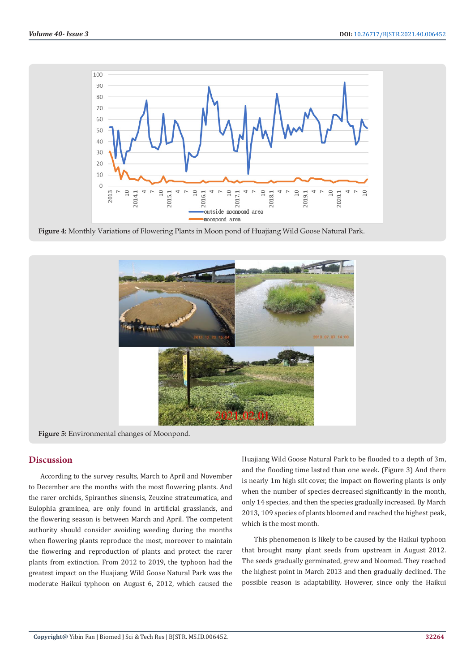

**Figure 4:** Monthly Variations of Flowering Plants in Moon pond of Huajiang Wild Goose Natural Park.



**Figure 5:** Environmental changes of Moonpond.

#### **Discussion**

According to the survey results, March to April and November to December are the months with the most flowering plants. And the rarer orchids, Spiranthes sinensis, Zeuxine strateumatica, and Eulophia graminea, are only found in artificial grasslands, and the flowering season is between March and April. The competent authority should consider avoiding weeding during the months when flowering plants reproduce the most, moreover to maintain the flowering and reproduction of plants and protect the rarer plants from extinction. From 2012 to 2019, the typhoon had the greatest impact on the Huajiang Wild Goose Natural Park was the moderate Haikui typhoon on August 6, 2012, which caused the

Huajiang Wild Goose Natural Park to be flooded to a depth of 3m, and the flooding time lasted than one week. (Figure 3) And there is nearly 1m high silt cover, the impact on flowering plants is only when the number of species decreased significantly in the month, only 14 species, and then the species gradually increased. By March 2013, 109 species of plants bloomed and reached the highest peak, which is the most month.

This phenomenon is likely to be caused by the Haikui typhoon that brought many plant seeds from upstream in August 2012. The seeds gradually germinated, grew and bloomed. They reached the highest point in March 2013 and then gradually declined. The possible reason is adaptability. However, since only the Haikui